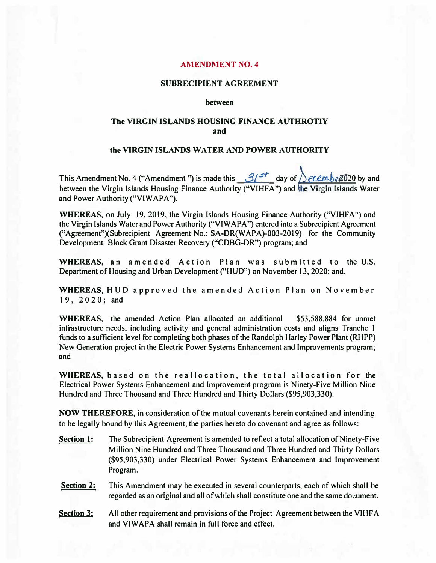## **AMENDMENT NO. 4**

### **SUBRECIPIENT AGREEMENT**

#### between

# **The VIRGIN ISLANDS HOUSING FINANCE AUTHROTIY and**

#### **the VIRGIN ISLANDS WATER AND POWER AUTHORITY**

This Amendment No. 4 ("Amendment ") is made this  $\frac{3}{4}$  **day of**  $\frac{1}{2}$ ecembe 2020 by and between the Virgin Islands Housing Finance Authority ("VIHFA") and the Virgin Islands Water **and Power Authority ("VIW APA").** 

**WHEREAS, on July 19, 2019, the Virgin Islands Housing Finance Authority ("VIHFA") and** the Virgin Islands Water and Power Authority ("VIWAPA") entered into a Subrecipient Agreement ("Agreement")(Subrecipient Agreement No.: SA-DR(WAPA)-003-2019) for the Community **Development Block Grant Disaster Recovery ("CDBG-DR") program; and** 

WHEREAS, an amended Action Plan was submitted to the U.S. **Department of Housing and Urban Development ("HUD") on November 13, 2020; and.** 

**WHEREAS, HUD approved the amended Action Plan on November I 9 , 2 0 2 0 ; and** 

**WHEREAS, the amended Action Plan allocated an additional \$53,588,884 for unmet infrastructure needs, including activity and general administration costs and aligns Tranche I funds to a sufficient level for completing both phases of the Randolph Harley Power Plant (RHPP) New Generation project in the Electric Power Systems Enhancement and Improvements program; and** 

WHEREAS, based on the reallocation, the total allocation for the **Electrical Power Systems Enhancement and Improvement program is Ninety-Five Million Nine Hundred and Three Thousand and Three Hundred and Thirty Dollars (\$95,903,330).** 

**NOW THEREFORE, in consideration of the mutual covenants herein contained and intending to be legally bound by this Agreement, the parties hereto do covenant and agree as follows:** 

- **Section 1: The Subrecipient Agreement is amended to reflect a total allocation of Ninety-Five Million Nine Hundred and Three Thousand and Three Hundred and Thirty Dollars (\$95,903,330) under Electrical Power Systems Enhancement and Improvement Program.**
- **Section 2: This Amendment may be executed in several counterparts, each of which shall be regarded as an original and all of which shall constitute one and the same document.**
- **<u>Section 3:</u> All other requirement and provisions of the Project Agreement between the VIHFA and VIWAPA shall remain in full force and effect.**